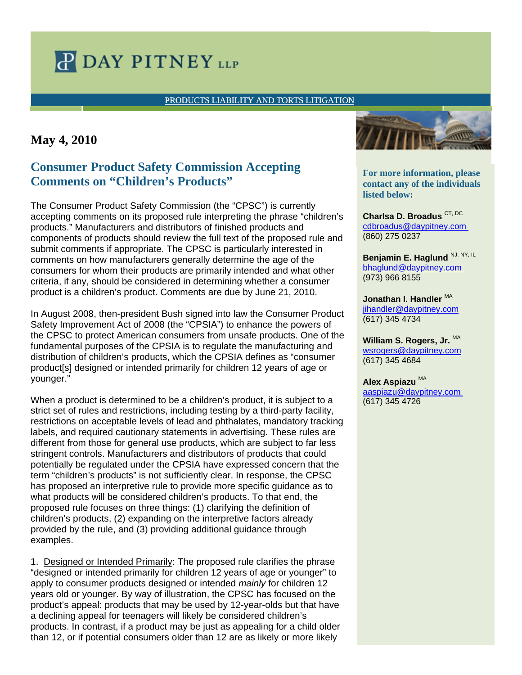# **P DAY PITNEY LLP**

### [PRODUCTS LIABILITY AND TORTS LITIGATION](http://www.daypitney.com/practices/practice-detail.aspx?pid=55)

## **May 4, 2010**

## **Consumer Product Safety Commission Accepting Comments on "Children's Products"**

The Consumer Product Safety Commission (the "CPSC") is currently accepting comments on its proposed rule interpreting the phrase "children's products." Manufacturers and distributors of finished products and components of products should review the full text of the proposed rule and submit comments if appropriate. The CPSC is particularly interested in comments on how manufacturers generally determine the age of the consumers for whom their products are primarily intended and what other criteria, if any, should be considered in determining whether a consumer product is a children's product. Comments are due by June 21, 2010.

In August 2008, then-president Bush signed into law the Consumer Product Safety Improvement Act of 2008 (the "CPSIA") to enhance the powers of the CPSC to protect American consumers from unsafe products. One of the fundamental purposes of the CPSIA is to regulate the manufacturing and distribution of children's products, which the CPSIA defines as "consumer product[s] designed or intended primarily for children 12 years of age or younger."

When a product is determined to be a children's product, it is subject to a strict set of rules and restrictions, including testing by a third-party facility, restrictions on acceptable levels of lead and phthalates, mandatory tracking labels, and required cautionary statements in advertising. These rules are different from those for general use products, which are subject to far less stringent controls. Manufacturers and distributors of products that could potentially be regulated under the CPSIA have expressed concern that the term "children's products" is not sufficiently clear. In response, the CPSC has proposed an interpretive rule to provide more specific guidance as to what products will be considered children's products. To that end, the proposed rule focuses on three things: (1) clarifying the definition of children's products, (2) expanding on the interpretive factors already provided by the rule, and (3) providing additional guidance through examples.

1. Designed or Intended Primarily: The proposed rule clarifies the phrase "designed or intended primarily for children 12 years of age or younger" to apply to consumer products designed or intended *mainly* for children 12 years old or younger. By way of illustration, the CPSC has focused on the product's appeal: products that may be used by 12-year-olds but that have a declining appeal for teenagers will likely be considered children's products. In contrast, if a product may be just as appealing for a child older than 12, or if potential consumers older than 12 are as likely or more likely



**Let a more information, prease** contact any of the individuals **disted below: different professional For more information, please** 

• *bullet 1*  [cdbroadus@daypitney.com](mailto:cdbroadus@daypitney.com) • *bullet 2*  (860) 275 0237 **Charlsa D. Broadus** CT, DC

**For more information, ple** [bhaglund@daypitney.com](mailto:bhaglund@daypitney.com) **contact any of t** (973) 966 8155 Benjamin E. Haglund NJ, NY, IL

**Robert M. Taylor III, CT** [jihandler@daypitney.com](mailto:jihandler@daypitney.com) (617) 345 4734 Jonathan I. Handler <sup>MA</sup>

(860) 275-0368 **William S. Rogers, Jr.** MA [wsrogers@daypitney.com](mailto:wsrogers@daypitney.com) (617) 345 4684

(860) 275-0196 **Alex Aspiazu** MA

aaspiazu@daypitney.com (617) 345 4726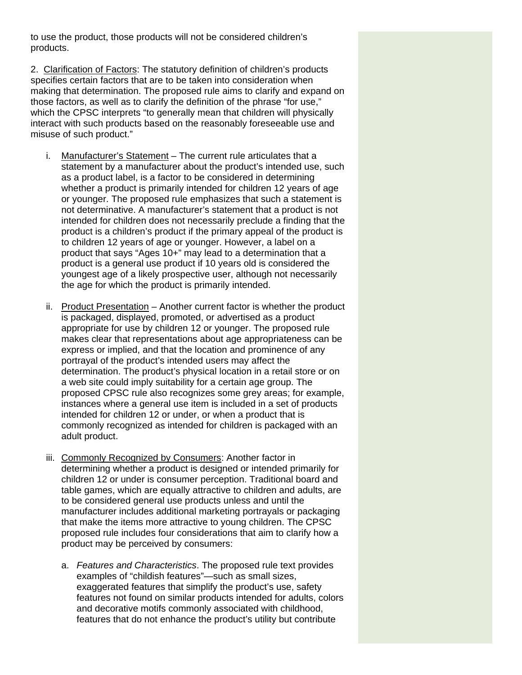to use the product, those products will not be considered children's products.

2. Clarification of Factors: The statutory definition of children's products specifies certain factors that are to be taken into consideration when making that determination. The proposed rule aims to clarify and expand on those factors, as well as to clarify the definition of the phrase "for use," which the CPSC interprets "to generally mean that children will physically interact with such products based on the reasonably foreseeable use and misuse of such product."

- i. Manufacturer's Statement The current rule articulates that a statement by a manufacturer about the product's intended use, such as a product label, is a factor to be considered in determining whether a product is primarily intended for children 12 years of age or younger. The proposed rule emphasizes that such a statement is not determinative. A manufacturer's statement that a product is not intended for children does not necessarily preclude a finding that the product is a children's product if the primary appeal of the product is to children 12 years of age or younger. However, a label on a product that says "Ages 10+" may lead to a determination that a product is a general use product if 10 years old is considered the youngest age of a likely prospective user, although not necessarily the age for which the product is primarily intended.
- ii. Product Presentation Another current factor is whether the product is packaged, displayed, promoted, or advertised as a product appropriate for use by children 12 or younger. The proposed rule makes clear that representations about age appropriateness can be express or implied, and that the location and prominence of any portrayal of the product's intended users may affect the determination. The product's physical location in a retail store or on a web site could imply suitability for a certain age group. The proposed CPSC rule also recognizes some grey areas; for example, instances where a general use item is included in a set of products intended for children 12 or under, or when a product that is commonly recognized as intended for children is packaged with an adult product.
- iii. Commonly Recognized by Consumers: Another factor in determining whether a product is designed or intended primarily for children 12 or under is consumer perception. Traditional board and table games, which are equally attractive to children and adults, are to be considered general use products unless and until the manufacturer includes additional marketing portrayals or packaging that make the items more attractive to young children. The CPSC proposed rule includes four considerations that aim to clarify how a product may be perceived by consumers:
	- a. *Features and Characteristics*. The proposed rule text provides examples of "childish features"—such as small sizes, exaggerated features that simplify the product's use, safety features not found on similar products intended for adults, colors and decorative motifs commonly associated with childhood, features that do not enhance the product's utility but contribute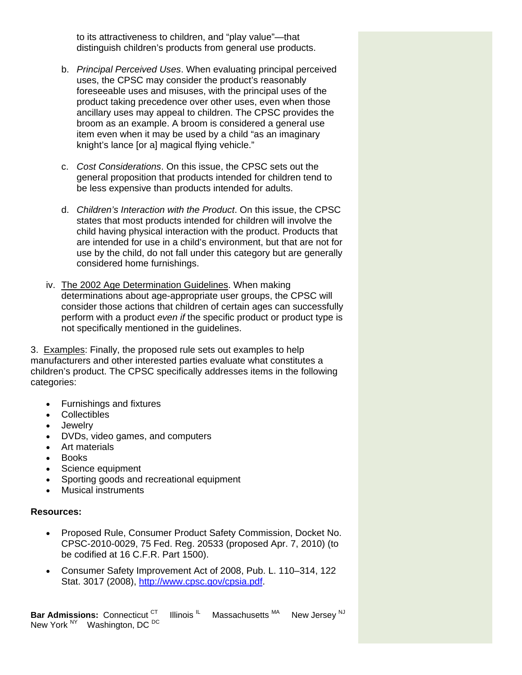to its attractiveness to children, and "play value"—that distinguish children's products from general use products.

- b. *Principal Perceived Uses*. When evaluating principal perceived uses, the CPSC may consider the product's reasonably foreseeable uses and misuses, with the principal uses of the product taking precedence over other uses, even when those ancillary uses may appeal to children. The CPSC provides the broom as an example. A broom is considered a general use item even when it may be used by a child "as an imaginary knight's lance [or a] magical flying vehicle."
- c. *Cost Considerations*. On this issue, the CPSC sets out the general proposition that products intended for children tend to be less expensive than products intended for adults.
- d. *Children's Interaction with the Product*. On this issue, the CPSC states that most products intended for children will involve the child having physical interaction with the product. Products that are intended for use in a child's environment, but that are not for use by the child, do not fall under this category but are generally considered home furnishings.
- iv. The 2002 Age Determination Guidelines. When making determinations about age-appropriate user groups, the CPSC will consider those actions that children of certain ages can successfully perform with a product *even if* the specific product or product type is not specifically mentioned in the guidelines.

3. Examples: Finally, the proposed rule sets out examples to help manufacturers and other interested parties evaluate what constitutes a children's product. The CPSC specifically addresses items in the following categories:

- Furnishings and fixtures
- Collectibles
- Jewelry
- DVDs, video games, and computers
- Art materials
- Books
- Science equipment
- Sporting goods and recreational equipment
- Musical instruments

#### **Resources:**

- Proposed Rule, Consumer Product Safety Commission, Docket No. CPSC-2010-0029, 75 Fed. Reg. 20533 (proposed Apr. 7, 2010) (to be codified at 16 C.F.R. Part 1500).
- Consumer Safety Improvement Act of 2008, Pub. L. 110–314, 122 Stat. 3017 (2008), [http://www.cpsc.gov/cpsia.pdf.](http://links.daypitney-news.com/ctt?kn=7&m=2976554&r=MTQwMDg4NDQxMTYS1&b=0&j=MTc4ODk2NjEyS0&mt=1&rt=0)